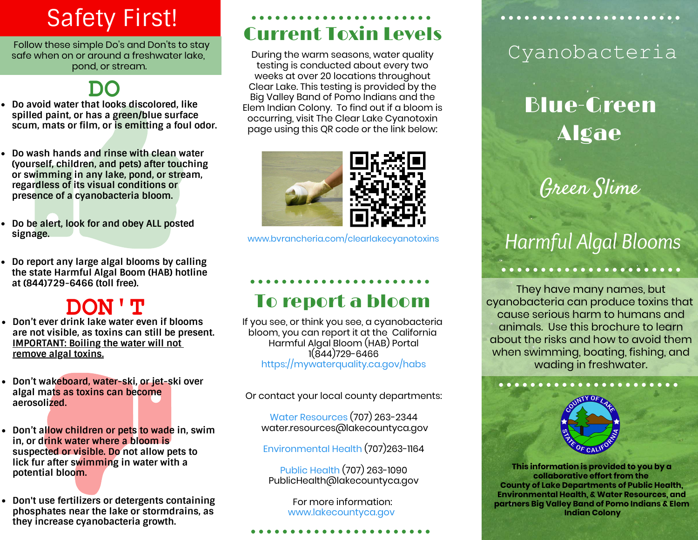# Safety First!

 Follow these simple Do's and Don'ts to stay safe when on or around a freshwater lake. pond, or stream.

- **DO**<br>Do avoid water that looks discolored, like **spilled paint, or has a green/blue surface scum, mats or film, or is emitting a foul odor.**
- **Do wash hands and rinse with clean water (yourself, children, and pets) after touching or swimming in any lake, pond, or stream, regardless of its visual conditions or presence of a cyanobacteria bloom.**
- **Do be alert, look for and obey ALL posted signage.**
- **Do report any large algal blooms by calling the state Harmful Algal Boom (HAB) hotline at (844)729-6466 (toll free).**

### **DON'T**

- **Don't ever drink lake water even if blooms are not visible, as toxins can still be present. IMPORTANT: Boiling the water will not remove algal toxins.**
- **Don't wakeboard, water-ski, or jet-ski over algal mats as toxins can become aerosolized.**
- **Don't allow children or pets to wade in, swim in, or drink water where a bloom is suspected or visible. Do not allow pets to lick fur after swimming in water with a potential bloom.**
- **Don't use fertilizers or detergents containing phosphates near the lake or stormdrains, as they increase cyanobacteria growth.**

## Current Toxin Levels

During the warm seasons, water quality testing is conducted about every two weeks at over 20 locations throughout Clear Lake. This testing is provided by the Big Valley Band of Pomo Indians and the Elem Indian Colony. To find out if a bloom is occurring, visit The Clear Lake Cyanotoxin page using this QR code or the link below:



[www.bvrancheria.com/clearlakecyanotoxins](http://www.bvrancheria.com/clearlakecyanotoxins)

### To report a bloom

If you see, or think you see, a cyanobacteria bloom, you can report it at the California Harmful Algal Bloom (HAB) Portal 1(844)729-6466 <https://mywaterquality.ca.gov/habs>

Or contact your local county departments:

Water Resources (707) 263-2344 water.resources@lakecountyca.gov

Environmental Health (707)263-1164

Public Health (707) 263-1090 PublicHealth@lakecountyca.gov

> For more information: [www.lakecountyca.gov](http://www.lakecountyca.gov)

### Cyanobacteria

# **Blue-Green** Algae

Green Slime

# *Harmful Algal Blooms*

They have many names, but cyanobacteria can produce toxins that cause serious harm to humans and animals. Use this brochure to learn about the risks and how to avoid them when swimming, boating, fishing, and wading in freshwater.



**This information is provided to you by a collaborative effort from the County of Lake Departments of Public Health, Environmental Health, & Water Resources, and partners Big Valley Band of Pomo Indians & Elem Indian Colony**